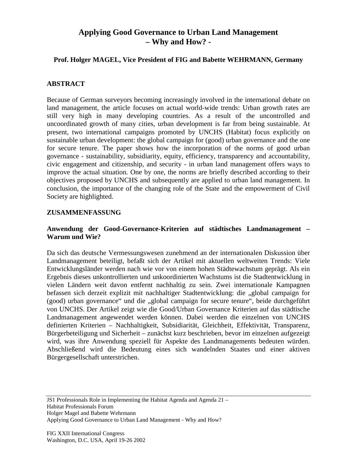# **Applying Good Governance to Urban Land Management – Why and How? -**

#### **Prof. Holger MAGEL, Vice President of FIG and Babette WEHRMANN, Germany**

### **ABSTRACT**

Because of German surveyors becoming increasingly involved in the international debate on land management, the article focuses on actual world-wide trends: Urban growth rates are still very high in many developing countries. As a result of the uncontrolled and uncoordinated growth of many cities, urban development is far from being sustainable. At present, two international campaigns promoted by UNCHS (Habitat) focus explicitly on sustainable urban development: the global campaign for (good) urban governance and the one for secure tenure. The paper shows how the incorporation of the norms of good urban governance - sustainability, subsidiarity, equity, efficiency, transparency and accountability, civic engagement and citizenship, and security - in urban land management offers ways to improve the actual situation. One by one, the norms are briefly described according to their objectives proposed by UNCHS and subsequently are applied to urban land management. In conclusion, the importance of the changing role of the State and the empowerment of Civil Society are highlighted.

#### **ZUSAMMENFASSUNG**

#### **Anwendung der Good-Governance-Kriterien auf städtisches Landmanagement – Warum und Wie?**

Da sich das deutsche Vermessungswesen zunehmend an der internationalen Diskussion über Landmanagement beteiligt, befaßt sich der Artikel mit aktuellen weltweiten Trends: Viele Entwicklungsländer werden nach wie vor von einem hohen Städtewachstum geprägt. Als ein Ergebnis dieses unkontrollierten und unkoordinierten Wachstums ist die Stadtentwicklung in vielen Ländern weit davon entfernt nachhaltig zu sein. Zwei internationale Kampagnen befassen sich derzeit explizit mit nachhaltiger Stadtentwicklung: die "global campaign for (good) urban governance" und die "global campaign for secure tenure", beide durchgeführt von UNCHS. Der Artikel zeigt wie die Good/Urban Governance Kriterien auf das städtische Landmanagement angewendet werden können. Dabei werden die einzelnen von UNCHS definierten Kriterien – Nachhaltigkeit, Subsidiarität, Gleichheit, Effektivität, Transparenz, Bürgerbeteiligung und Sicherheit – zunächst kurz beschrieben, bevor im einzelnen aufgezeigt wird, was ihre Anwendung speziell für Aspekte des Landmanagements bedeuten würden. Abschließend wird die Bedeutung eines sich wandelnden Staates und einer aktiven Bürgergesellschaft unterstrichen.

JS1 Professionals Role in Implementing the Habitat Agenda and Agenda 21 – Habitat Professionals Forum

Applying Good Governance to Urban Land Management - Why and How?

Holger Magel and Babette Wehrmann